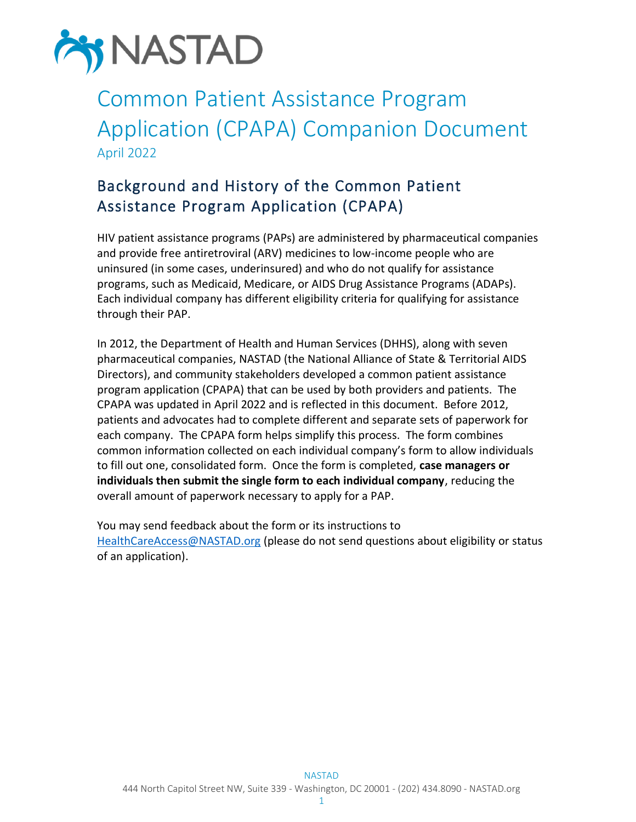

# Common Patient Assistance Program Application (CPAPA) Companion Document April 2022

## Background and History of the Common Patient Assistance Program Application (CPAPA)

HIV patient assistance programs (PAPs) are administered by pharmaceutical companies and provide free antiretroviral (ARV) medicines to low-income people who are uninsured (in some cases, underinsured) and who do not qualify for assistance programs, such as Medicaid, Medicare, or AIDS Drug Assistance Programs (ADAPs). Each individual company has different eligibility criteria for qualifying for assistance through their PAP.

In 2012, the Department of Health and Human Services (DHHS), along with seven pharmaceutical companies, NASTAD (the National Alliance of State & Territorial AIDS Directors), and community stakeholders developed a common patient assistance program application (CPAPA) that can be used by both providers and patients. The CPAPA was updated in April 2022 and is reflected in this document. Before 2012, patients and advocates had to complete different and separate sets of paperwork for each company. The CPAPA form helps simplify this process. The form combines common information collected on each individual company's form to allow individuals to fill out one, consolidated form. Once the form is completed, **case managers or individuals then submit the single form to each individual company**, reducing the overall amount of paperwork necessary to apply for a PAP.

You may send feedback about the form or its instructions to [HealthCareAccess@NASTAD.org](mailto:HealthCareAccess@NASTAD.org) (please do not send questions about eligibility or status of an application).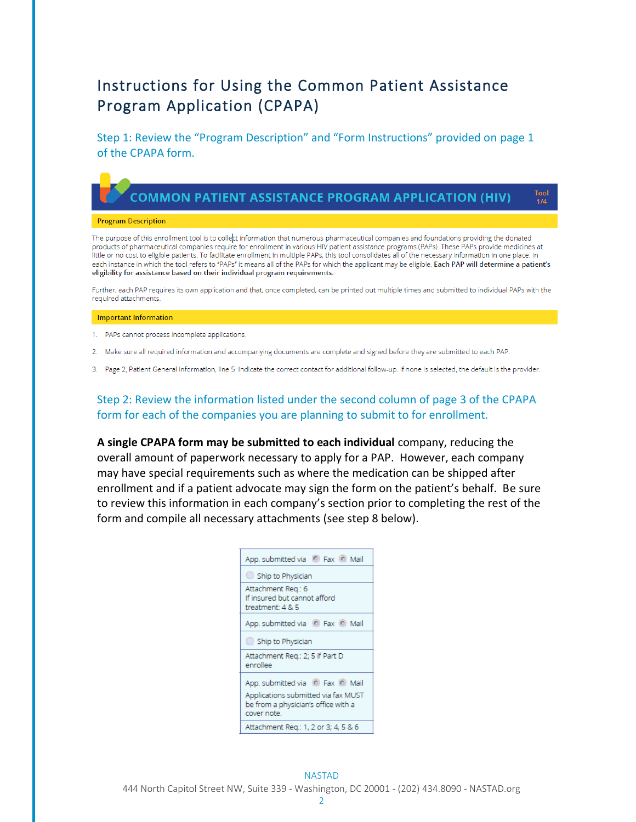## Instructions for Using the Common Patient Assistance Program Application (CPAPA)

Step 1: Review the "Program Description" and "Form Instructions" provided on page 1 of the CPAPA form.

### **COMMON PATIENT ASSISTANCE PROGRAM APPLICATION (HIV)**

**Fool** 

 $1/4$ 

#### **Program Description**

The purpose of this enrollment tool is to collect information that numerous pharmaceutical companies and foundations providing the donated products of pharmaceutical companies require for enrollment in various HIV patient assistance programs (PAPs). These PAPs provide medicines at little or no cost to eligible patients. To facilitate enrollment in multiple PAPs, this tool consolidates all of the necessary information in one place. In each instance in which the tool refers to "PAPs" it means all of the PAPs for which the applicant may be eligible. Each PAP will determine a patient's eligibility for assistance based on their individual program requirements.

Further, each PAP requires its own application and that, once completed, can be printed out multiple times and submitted to individual PAPs with the required attachments.

#### **Important Information**

1. PAPs cannot process incomplete applications.

- 2. Make sure all required information and accompanying documents are complete and signed before they are submitted to each PAP.
- 3. Page 2, Patient General Information, line 5: indicate the correct contact for additional follow-up. If none is selected, the default is the provider.

#### Step 2: Review the information listed under the second column of page 3 of the CPAPA form for each of the companies you are planning to submit to for enrollment.

**A single CPAPA form may be submitted to each individual** company, reducing the overall amount of paperwork necessary to apply for a PAP. However, each company may have special requirements such as where the medication can be shipped after enrollment and if a patient advocate may sign the form on the patient's behalf. Be sure to review this information in each company's section prior to completing the rest of the form and compile all necessary attachments (see step 8 below).

| App. submitted via C Fax C Mail                                        |
|------------------------------------------------------------------------|
| $\bigcirc$ Ship to Physician                                           |
| Attachment Reg.: 6<br>If insured but cannot afford<br>treatment: 4 & 5 |
| App. submitted via C Fax C Mail                                        |
| Ship to Physician                                                      |
| Attachment Req.: 2; 5 if Part D<br>enrollee                            |
| App. submitted via C Fax C Mail<br>Applications submitted via fax MUST |
| be from a physician's office with a<br>cover note.                     |
| Attachment Req.: 1, 2 or 3; 4, 5 & 6                                   |

NASTAD 444 North Capitol Street NW, Suite 339 - Washington, DC 20001 - (202) 434.8090 - NASTAD.org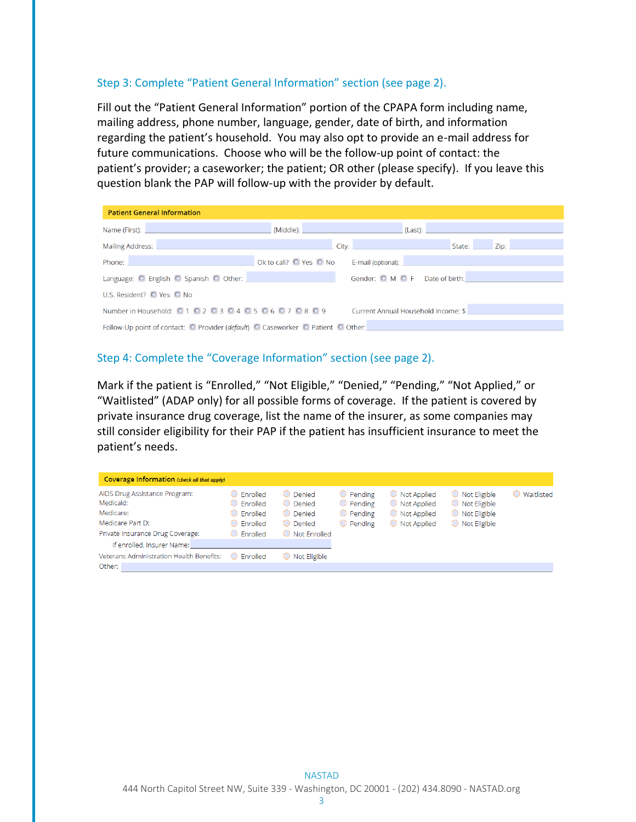#### Step 3: Complete "Patient General Information" section (see page 2).

Fill out the "Patient General Information" portion of the CPAPA form including name, mailing address, phone number, language, gender, date of birth, and information regarding the patient's household. You may also opt to provide an e-mail address for future communications. Choose who will be the follow-up point of contact: the patient's provider; a caseworker; the patient; OR other (please specify). If you leave this question blank the PAP will follow-up with the provider by default.

| <b>Patient General Information</b>                                                                                                                                                                                                   |  |                                                                                                                                                                                                                                |  |  |  |  |
|--------------------------------------------------------------------------------------------------------------------------------------------------------------------------------------------------------------------------------------|--|--------------------------------------------------------------------------------------------------------------------------------------------------------------------------------------------------------------------------------|--|--|--|--|
|                                                                                                                                                                                                                                      |  | Name (First): Note and the second control of the second control (Middle): Name (Clast): Name (First): Name (Post of the second control of the second control of the second control of the second control of the second control |  |  |  |  |
| Mailing Address: No. 1996. The Company of the Company of the Company of the Company of the Company of the Company of the Company of the Company of the Company of the Company of the Company of the Company of the Company of        |  | <b>City: City: City: City: City: City: City: City: City: City: City:</b><br>Zip:<br>State:                                                                                                                                     |  |  |  |  |
| Phone: <b>Contract Contract Contract Contract Contract Contract Contract Contract Contract Contract Contract Contract Contract Contract Contract Contract Contract Contract Contract Contract Contract Contract Contract Contrac</b> |  |                                                                                                                                                                                                                                |  |  |  |  |
| Language: O English O Spanish O Other:                                                                                                                                                                                               |  | Gender: O M O F Date of birth:                                                                                                                                                                                                 |  |  |  |  |
| U.S. Resident? O Yes O No                                                                                                                                                                                                            |  |                                                                                                                                                                                                                                |  |  |  |  |
| Number in Household: $010203040506070809$                                                                                                                                                                                            |  | Current Annual Household Income: \$ 2000 Current Annual Household Income: \$                                                                                                                                                   |  |  |  |  |
| Follow-Up point of contact: O Provider (default) O Caseworker O Patient O Other:                                                                                                                                                     |  |                                                                                                                                                                                                                                |  |  |  |  |

#### Step 4: Complete the "Coverage Information" section (see page 2).

Mark if the patient is "Enrolled," "Not Eligible," "Denied," "Pending," "Not Applied," or "Waitlisted" (ADAP only) for all possible forms of coverage. If the patient is covered by private insurance drug coverage, list the name of the insurer, as some companies may still consider eligibility for their PAP if the patient has insufficient insurance to meet the patient's needs.

| Coverage Information (check all that apply)                                                                     |                                                                                                                              |                                                               |                                                                                      |                                                                           |                                                                                        |              |
|-----------------------------------------------------------------------------------------------------------------|------------------------------------------------------------------------------------------------------------------------------|---------------------------------------------------------------|--------------------------------------------------------------------------------------|---------------------------------------------------------------------------|----------------------------------------------------------------------------------------|--------------|
| AIDS Drug Assistance Program:<br>Medicaid:<br>Medicare:<br>Medicare Part D:<br>Private Insurance Drug Coverage: | <b>Enrolled</b><br>n)<br>Enrolled<br>$^{\circ}$<br>Enrolled<br>$\bigcirc$<br>Enrolled<br>$^{\rm (+)}$<br>$\bigcirc$ Fnrolled | ◯ Denied<br>O Denied<br>◯ Denied<br>◯ Denied<br>Not Frirolled | $\bigcirc$ Pending<br>$\bigcirc$ Pending<br>$\bigcirc$ Pending<br>$\bigcirc$ Pending | $\bigcirc$ Not Applied<br>◯ Not Applied<br>◯ Not Applied<br>◯ Not Applied | $\bigcirc$ Not Eligible<br>◯ Not Eligible<br>◯ Not Eligible<br>$\bigcirc$ Not Eligible | ◯ Waitlisted |
| If enrolled, Insurer Name:                                                                                      |                                                                                                                              |                                                               |                                                                                      |                                                                           |                                                                                        |              |
| Veterans Administration Health Benefits:<br>Other:                                                              | Enrolled                                                                                                                     | ○ Not Eligible                                                |                                                                                      |                                                                           |                                                                                        |              |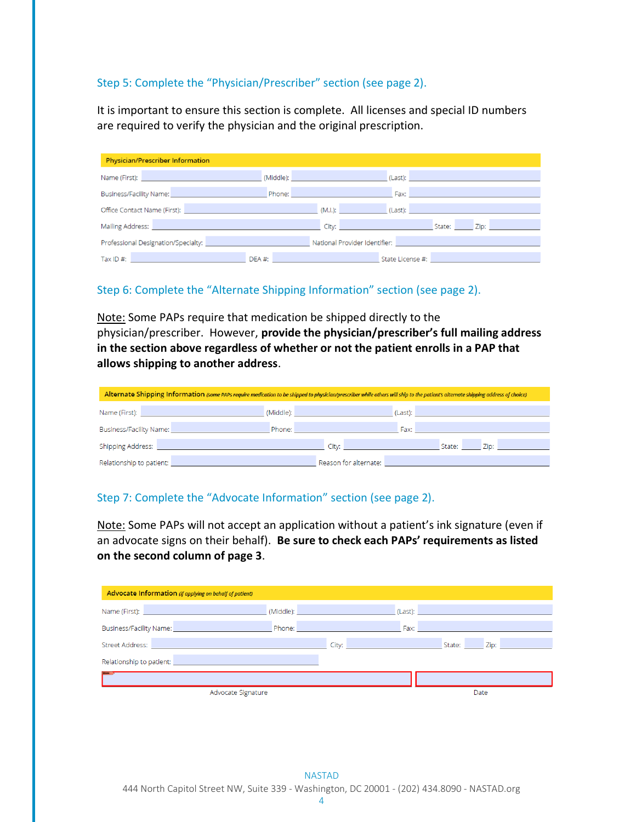#### Step 5: Complete the "Physician/Prescriber" section (see page 2).

It is important to ensure this section is complete. All licenses and special ID numbers are required to verify the physician and the original prescription.

| <b>Physician/Prescriber Information</b>                                                                                                                                                                                        |            |                                                                                                                                                                                                                               |                                                                                                                                                                                                                                    |  |  |  |
|--------------------------------------------------------------------------------------------------------------------------------------------------------------------------------------------------------------------------------|------------|-------------------------------------------------------------------------------------------------------------------------------------------------------------------------------------------------------------------------------|------------------------------------------------------------------------------------------------------------------------------------------------------------------------------------------------------------------------------------|--|--|--|
| Name (First): Name (First) and the state of the state of the state of the state of the state of the state of the state of the state of the state of the state of the state of the state of the state of the state of the state |            | (Middle): <b>Example 2008</b>                                                                                                                                                                                                 | <b>Clast): Classification in the contract of the contract of the contract of the contract of the contract of the contract of the contract of the contract of the contract of the contract of the contract of the contract of t</b> |  |  |  |
| Business/Facility Name: Name: Name: Name: Name: Name: Name: Name: Name: Name: Name: Name: Name: Name: Name: Name: Name: Name: Name: Name: Name: Name: Name: Name: Name: Name: Name: Name: Name: Name: Name: Name: Name: Name:  |            | Phone: New York Street, New York Street, New York Street, New York Street, New York Street, New York Street, N                                                                                                                |                                                                                                                                                                                                                                    |  |  |  |
| Office Contact Name (First): Note that the control of the control of the control of the control of the control of the control of the control of the control of the control of the control of the control of the control of the |            |                                                                                                                                                                                                                               | (Last): <b>All and All and All and All and All and All and All and All and All and All and All and All and All and</b>                                                                                                             |  |  |  |
| Mailing Address: No. 2008. The Committee of the Committee of the Committee of the Committee of the Committee o                                                                                                                 |            | City: City: City: City: City: City: City: City: City: City: City: City: City: City: City: City: City: City: City: City: City: City: City: City: City: City: City: City: City: City: City: City: City: City: City: City: City: |                                                                                                                                                                                                                                    |  |  |  |
|                                                                                                                                                                                                                                |            | National Provider Identifier: National Provider Identifier:                                                                                                                                                                   |                                                                                                                                                                                                                                    |  |  |  |
| Tax ID #: New York State State State State State State State State State State State State State State State State State State State State State State State State State State State State State State State State State State | $DEA \#$ : |                                                                                                                                                                                                                               | State License #: All and All and All and All and All and All and All and All and All and All and All and All and All and All and All and All and All and All and All and All and All and All and All and All and All and All a     |  |  |  |

#### Step 6: Complete the "Alternate Shipping Information" section (see page 2).

Note: Some PAPs require that medication be shipped directly to the physician/prescriber. However, **provide the physician/prescriber's full mailing address in the section above regardless of whether or not the patient enrolls in a PAP that allows shipping to another address**.

| Alternate Shipping Information (some PAPs require medication to be shipped to physician/prescriber while others will ship to the patient's alternate shipping address of choice)                                                   |                                                                                                                                                                                                                               |                                     |                |  |  |  |
|------------------------------------------------------------------------------------------------------------------------------------------------------------------------------------------------------------------------------------|-------------------------------------------------------------------------------------------------------------------------------------------------------------------------------------------------------------------------------|-------------------------------------|----------------|--|--|--|
| Name (First): The contract of the contract of the contract of the contract of the contract of the contract of                                                                                                                      | (Middle): the contract of the contract of the contract of the contract of the contract of the contract of the contract of the contract of the contract of the contract of the contract of the contract of the contract of the | (Last):                             |                |  |  |  |
| <b>Business/Facility Name: Contract Contract Contract Contract Contract Contract Contract Contract Contract Contract Contract Contract Contract Contract Contract Contract Contract Contract Contract Contract Contract Contra</b> | Phone:                                                                                                                                                                                                                        | Fax:                                |                |  |  |  |
| <b>Shipping Address:</b>                                                                                                                                                                                                           |                                                                                                                                                                                                                               | City: <b>City: City:</b> City: 2004 | Zip:<br>State: |  |  |  |
| Relationship to patient:                                                                                                                                                                                                           |                                                                                                                                                                                                                               | Reason for alternate:               |                |  |  |  |

#### Step 7: Complete the "Advocate Information" section (see page 2).

Note: Some PAPs will not accept an application without a patient's ink signature (even if an advocate signs on their behalf). **Be sure to check each PAPs' requirements as listed on the second column of page 3**.

| Advocate Information (if applying on behalf of patient)                                                                                                                                                                            |                                                                                                                                                                                                                                      |                                       |                                                                                                                                                                                                                                |        |      |
|------------------------------------------------------------------------------------------------------------------------------------------------------------------------------------------------------------------------------------|--------------------------------------------------------------------------------------------------------------------------------------------------------------------------------------------------------------------------------------|---------------------------------------|--------------------------------------------------------------------------------------------------------------------------------------------------------------------------------------------------------------------------------|--------|------|
| Name (First): Name (First) and the second state of the second state of the second state of the second state of                                                                                                                     | (Middle): <b>Contract Contract Contract Contract Contract Contract Contract Contract Contract Contract Contract Contract Contract Contract Contract Contract Contract Contract Contract Contract Contract Contract Contract Cont</b> |                                       | (Last): the contract of the contract of the contract of the contract of the contract of the contract of the contract of the contract of the contract of the contract of the contract of the contract of the contract of the co |        |      |
| <b>Business/Facility Name: Contract Contract Contract Contract Contract Contract Contract Contract Contract Contract Contract Contract Contract Contract Contract Contract Contract Contract Contract Contract Contract Contra</b> | Phone: The Company of the Company of the Company of the Company of the Company of the Company of the Company of the Company of the Company of the Company of the Company of the Company of the Company of the Company of the C       |                                       | Fax:                                                                                                                                                                                                                           |        |      |
| Street Address: No. 1996. The Contract of the Contract of the Contract of the Contract of the Contract of the Contract of the Contract of the Contract of the Contract of the Contract of the Contract of the Contract of the      |                                                                                                                                                                                                                                      | City: <b>City:</b> City: <b>City:</b> |                                                                                                                                                                                                                                | State: | Zip: |
| Relationship to patient: New York Change and Change and Change and Change and Change and Change and Change and                                                                                                                     |                                                                                                                                                                                                                                      |                                       |                                                                                                                                                                                                                                |        |      |
|                                                                                                                                                                                                                                    |                                                                                                                                                                                                                                      |                                       |                                                                                                                                                                                                                                |        |      |
| Advocate Signature                                                                                                                                                                                                                 |                                                                                                                                                                                                                                      |                                       |                                                                                                                                                                                                                                | Date   |      |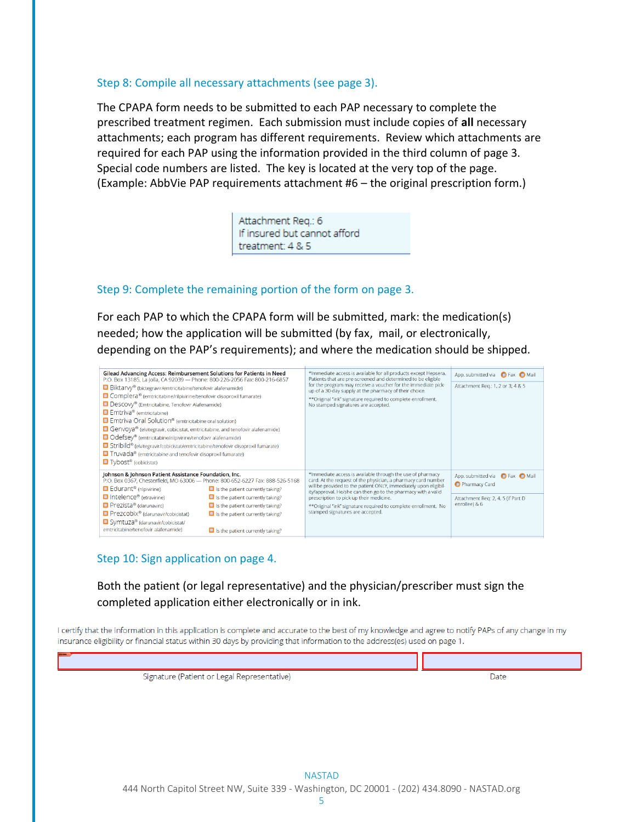#### Step 8: Compile all necessary attachments (see page 3).

The CPAPA form needs to be submitted to each PAP necessary to complete the prescribed treatment regimen. Each submission must include copies of **all** necessary attachments; each program has different requirements. Review which attachments are required for each PAP using the information provided in the third column of page 3. Special code numbers are listed. The key is located at the very top of the page. (Example: AbbVie PAP requirements attachment #6 – the original prescription form.)

> Attachment Reg.: 6 If insured but cannot afford treatment: 4 & 5

#### Step 9: Complete the remaining portion of the form on page 3.

For each PAP to which the CPAPA form will be submitted, mark: the medication(s) needed; how the application will be submitted (by fax, mail, or electronically, depending on the PAP's requirements); and where the medication should be shipped.



### Step 10: Sign application on page 4.

Both the patient (or legal representative) and the physician/prescriber must sign the completed application either electronically or in ink.

I certify that the information in this application is complete and accurate to the best of my knowledge and agree to notify PAPs of any change in my insurance eligibility or financial status within 30 days by providing that information to the address(es) used on page 1.

| Signature (Patient or Legal Representative) | Date |
|---------------------------------------------|------|
|                                             |      |